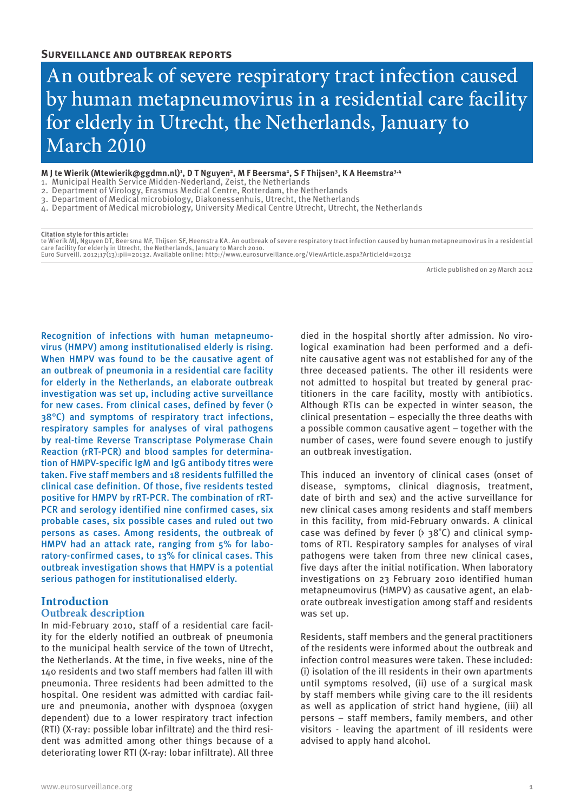# An outbreak of severe respiratory tract infection caused by human metapneumovirus in a residential care facility for elderly in Utrecht, the Netherlands, January to March 2010

#### M J te Wierik (Mtewierik@ggdmn.nl)<sup>1</sup>, D T Nguyen<sup>2</sup>, M F Beersma<sup>2</sup>, S F Thijsen<sup>3</sup>, K A Heemstra<sup>3.4</sup>

- 1. Municipal Health Service Midden-Nederland, Zeist, the Netherlands
- 2. Department of Virology, Erasmus Medical Centre, Rotterdam, the Netherlands
- 3. Department of Medical microbiology, Diakonessenhuis, Utrecht, the Netherlands
- 4. Department of Medical microbiology, University Medical Centre Utrecht, Utrecht, the Netherlands

#### **Citation style for this article:**

te Wierik MJ, Nguyen DT, Beersma MF, Thijsen SF, Heemstra KA. An outbreak of severe respiratory tract infection caused by human metapneumovirus in a residential care facility for elderly in Utrecht, the Netherlands, January to March 2010.<br>Euro Surveill. 2012;17(13):pii=20132. Available online: http://www.eurosurveillance.org/ViewArticle.aspx?ArticleId=20132

Article published on 29 March 2012

Recognition of infections with human metapneumovirus (HMPV) among institutionalised elderly is rising. When HMPV was found to be the causative agent of an outbreak of pneumonia in a residential care facility for elderly in the Netherlands, an elaborate outbreak investigation was set up, including active surveillance for new cases. From clinical cases, defined by fever (> 38°C) and symptoms of respiratory tract infections, respiratory samples for analyses of viral pathogens by real-time Reverse Transcriptase Polymerase Chain Reaction (rRT-PCR) and blood samples for determination of HMPV-specific IgM and IgG antibody titres were taken. Five staff members and 18 residents fulfilled the clinical case definition. Of those, five residents tested positive for HMPV by rRT-PCR. The combination of rRT-PCR and serology identified nine confirmed cases, six probable cases, six possible cases and ruled out two persons as cases. Among residents, the outbreak of HMPV had an attack rate, ranging from 5% for laboratory-confirmed cases, to 13% for clinical cases. This outbreak investigation shows that HMPV is a potential serious pathogen for institutionalised elderly.

# **Introduction Outbreak description**

In mid-February 2010, staff of a residential care facility for the elderly notified an outbreak of pneumonia to the municipal health service of the town of Utrecht, the Netherlands. At the time, in five weeks, nine of the 140 residents and two staff members had fallen ill with pneumonia. Three residents had been admitted to the hospital. One resident was admitted with cardiac failure and pneumonia, another with dyspnoea (oxygen dependent) due to a lower respiratory tract infection (RTI) (X-ray: possible lobar infiltrate) and the third resident was admitted among other things because of a deteriorating lower RTI (X-ray: lobar infiltrate). All three

died in the hospital shortly after admission. No virological examination had been performed and a definite causative agent was not established for any of the three deceased patients. The other ill residents were not admitted to hospital but treated by general practitioners in the care facility, mostly with antibiotics. Although RTIs can be expected in winter season, the clinical presentation – especially the three deaths with a possible common causative agent – together with the number of cases, were found severe enough to justify an outbreak investigation.

This induced an inventory of clinical cases (onset of disease, symptoms, clinical diagnosis, treatment, date of birth and sex) and the active surveillance for new clinical cases among residents and staff members in this facility, from mid-February onwards. A clinical case was defined by fever  $($   $>$  38 $^{\circ}$ C) and clinical symptoms of RTI. Respiratory samples for analyses of viral pathogens were taken from three new clinical cases, five days after the initial notification. When laboratory investigations on 23 February 2010 identified human metapneumovirus (HMPV) as causative agent, an elaborate outbreak investigation among staff and residents was set up.

Residents, staff members and the general practitioners of the residents were informed about the outbreak and infection control measures were taken. These included: (i) isolation of the ill residents in their own apartments until symptoms resolved, (ii) use of a surgical mask by staff members while giving care to the ill residents as well as application of strict hand hygiene, (iii) all persons – staff members, family members, and other visitors - leaving the apartment of ill residents were advised to apply hand alcohol.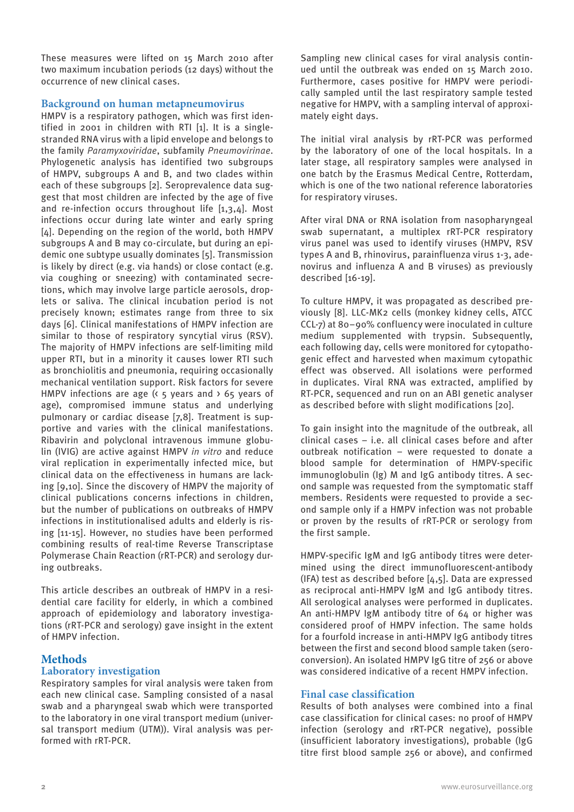These measures were lifted on 15 March 2010 after two maximum incubation periods (12 days) without the occurrence of new clinical cases.

# **Background on human metapneumovirus**

HMPV is a respiratory pathogen, which was first identified in 2001 in children with RTI [1]. It is a singlestranded RNA virus with a lipid envelope and belongs to the family *Paramyxoviridae*, subfamily *Pneumovirinae*. Phylogenetic analysis has identified two subgroups of HMPV, subgroups A and B, and two clades within each of these subgroups [2]. Seroprevalence data suggest that most children are infected by the age of five and re-infection occurs throughout life [1,3,4]. Most infections occur during late winter and early spring [4]. Depending on the region of the world, both HMPV subgroups A and B may co-circulate, but during an epidemic one subtype usually dominates [5]. Transmission is likely by direct (e.g. via hands) or close contact (e.g. via coughing or sneezing) with contaminated secretions, which may involve large particle aerosols, droplets or saliva. The clinical incubation period is not precisely known; estimates range from three to six days [6]. Clinical manifestations of HMPV infection are similar to those of respiratory syncytial virus (RSV). The majority of HMPV infections are self-limiting mild upper RTI, but in a minority it causes lower RTI such as bronchiolitis and pneumonia, requiring occasionally mechanical ventilation support. Risk factors for severe HMPV infections are age ( $\epsilon$  5 years and  $\epsilon$  65 years of age), compromised immune status and underlying pulmonary or cardiac disease [7,8]. Treatment is supportive and varies with the clinical manifestations. Ribavirin and polyclonal intravenous immune globulin (IVIG) are active against HMPV *in vitro* and reduce viral replication in experimentally infected mice, but clinical data on the effectiveness in humans are lacking [9,10]. Since the discovery of HMPV the majority of clinical publications concerns infections in children, but the number of publications on outbreaks of HMPV infections in institutionalised adults and elderly is rising [11-15]. However, no studies have been performed combining results of real-time Reverse Transcriptase Polymerase Chain Reaction (rRT-PCR) and serology during outbreaks.

This article describes an outbreak of HMPV in a residential care facility for elderly, in which a combined approach of epidemiology and laboratory investigations (rRT-PCR and serology) gave insight in the extent of HMPV infection.

# **Methods**

# **Laboratory investigation**

Respiratory samples for viral analysis were taken from each new clinical case. Sampling consisted of a nasal swab and a pharyngeal swab which were transported to the laboratory in one viral transport medium (universal transport medium (UTM)). Viral analysis was performed with rRT-PCR.

Sampling new clinical cases for viral analysis continued until the outbreak was ended on 15 March 2010. Furthermore, cases positive for HMPV were periodically sampled until the last respiratory sample tested negative for HMPV, with a sampling interval of approximately eight days.

The initial viral analysis by rRT-PCR was performed by the laboratory of one of the local hospitals. In a later stage, all respiratory samples were analysed in one batch by the Erasmus Medical Centre, Rotterdam, which is one of the two national reference laboratories for respiratory viruses.

After viral DNA or RNA isolation from nasopharyngeal swab supernatant, a multiplex rRT-PCR respiratory virus panel was used to identify viruses (HMPV, RSV types A and B, rhinovirus, parainfluenza virus 1-3, adenovirus and influenza A and B viruses) as previously described [16-19].

To culture HMPV, it was propagated as described previously [8]. LLC-MK2 cells (monkey kidney cells, ATCC CCL-7) at 80–90% confluency were inoculated in culture medium supplemented with trypsin. Subsequently, each following day, cells were monitored for cytopathogenic effect and harvested when maximum cytopathic effect was observed. All isolations were performed in duplicates. Viral RNA was extracted, amplified by RT-PCR, sequenced and run on an ABI genetic analyser as described before with slight modifications [20].

To gain insight into the magnitude of the outbreak, all clinical cases – i.e. all clinical cases before and after outbreak notification – were requested to donate a blood sample for determination of HMPV-specific immunoglobulin (Ig) M and IgG antibody titres. A second sample was requested from the symptomatic staff members. Residents were requested to provide a second sample only if a HMPV infection was not probable or proven by the results of rRT-PCR or serology from the first sample.

HMPV-specific IgM and IgG antibody titres were determined using the direct immunofluorescent-antibody (IFA) test as described before [4,5]. Data are expressed as reciprocal anti-HMPV IgM and IgG antibody titres. All serological analyses were performed in duplicates. An anti-HMPV IgM antibody titre of 64 or higher was considered proof of HMPV infection. The same holds for a fourfold increase in anti-HMPV IgG antibody titres between the first and second blood sample taken (seroconversion). An isolated HMPV IgG titre of 256 or above was considered indicative of a recent HMPV infection.

# **Final case classification**

Results of both analyses were combined into a final case classification for clinical cases: no proof of HMPV infection (serology and rRT-PCR negative), possible (insufficient laboratory investigations), probable (IgG titre first blood sample 256 or above), and confirmed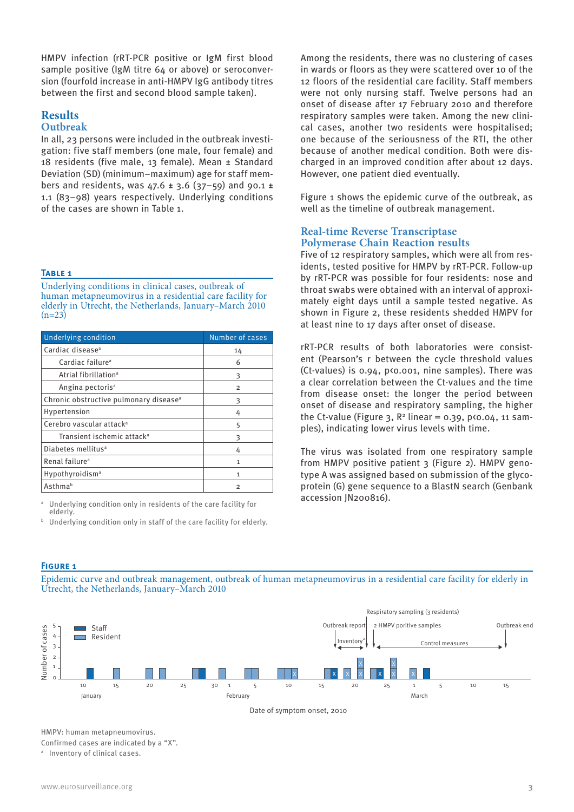HMPV infection (rRT-PCR positive or IgM first blood sample positive (IgM titre 64 or above) or seroconversion (fourfold increase in anti-HMPV IgG antibody titres between the first and second blood sample taken).

# **Results Outbreak**

In all, 23 persons were included in the outbreak investigation: five staff members (one male, four female) and 18 residents (five male, 13 female). Mean ± Standard Deviation (SD) (minimum–maximum) age for staff members and residents, was  $47.6 \pm 3.6$  (37-59) and 90.1 ± 1.1 (83–98) years respectively. Underlying conditions of the cases are shown in Table 1.

### **Table 1**

Underlying conditions in clinical cases, outbreak of human metapneumovirus in a residential care facility for elderly in Utrecht, the Netherlands, January–March 2010  $(n=23)$ 

| <b>Underlying condition</b>                        | Number of cases |
|----------------------------------------------------|-----------------|
| Cardiac disease <sup>a</sup>                       | 14              |
| Cardiac failure <sup>a</sup>                       | 6               |
| Atrial fibrillation <sup>a</sup>                   | 3               |
| Angina pectoris <sup>a</sup>                       | $\overline{2}$  |
| Chronic obstructive pulmonary disease <sup>a</sup> | 3               |
| Hypertension                                       | 4               |
| Cerebro vascular attack <sup>a</sup>               | 5               |
| Transient ischemic attack <sup>a</sup>             | 3               |
| Diabetes mellitus <sup>a</sup>                     | 4               |
| Renal failure <sup>a</sup>                         | 1               |
| Hypothyroidism <sup>a</sup>                        | 1               |
| Asthmab                                            | 2               |

Underlying condition only in residents of the care facility for elderly.

Underlying condition only in staff of the care facility for elderly.

Among the residents, there was no clustering of cases in wards or floors as they were scattered over 10 of the 12 floors of the residential care facility. Staff members were not only nursing staff. Twelve persons had an onset of disease after 17 February 2010 and therefore respiratory samples were taken. Among the new clinical cases, another two residents were hospitalised; one because of the seriousness of the RTI, the other because of another medical condition. Both were discharged in an improved condition after about 12 days. However, one patient died eventually.

Figure 1 shows the epidemic curve of the outbreak, as well as the timeline of outbreak management.

# **Real-time Reverse Transcriptase Polymerase Chain Reaction results**

Five of 12 respiratory samples, which were all from residents, tested positive for HMPV by rRT-PCR. Follow-up by rRT-PCR was possible for four residents: nose and throat swabs were obtained with an interval of approximately eight days until a sample tested negative. As shown in Figure 2, these residents shedded HMPV for at least nine to 17 days after onset of disease.

rRT-PCR results of both laboratories were consistent (Pearson's r between the cycle threshold values (Ct-values) is 0.94, p<0.001, nine samples). There was a clear correlation between the Ct-values and the time from disease onset: the longer the period between onset of disease and respiratory sampling, the higher the Ct-value (Figure 3,  $\mathbb{R}^2$  linear = 0.39, p<0.04, 11 samples), indicating lower virus levels with time.

The virus was isolated from one respiratory sample from HMPV positive patient 3 (Figure 2). HMPV genotype A was assigned based on submission of the glycoprotein (G) gene sequence to a BlastN search (Genbank accession JN200816).

### **Figure 1**

Epidemic curve and outbreak management, outbreak of human metapneumovirus in a residential care facility for elderly in Utrecht, the Netherlands, January–March 2010





HMPV: human metapneumovirus. Confirmed cases are indicated by a "X".

a Inventory of clinical cases.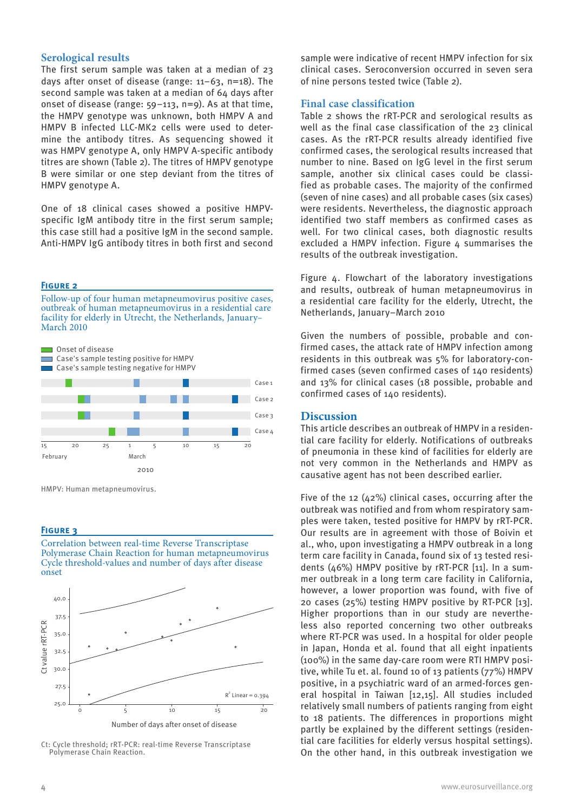# **Serological results**

The first serum sample was taken at a median of 23 days after onset of disease (range: 11–63, n=18). The second sample was taken at a median of 64 days after onset of disease (range: 59–113, n=9). As at that time, the HMPV genotype was unknown, both HMPV A and HMPV B infected LLC-MK2 cells were used to determine the antibody titres. As sequencing showed it was HMPV genotype A, only HMPV A-specific antibody titres are shown (Table 2). The titres of HMPV genotype B were similar or one step deviant from the titres of HMPV genotype A.

One of 18 clinical cases showed a positive HMPVspecific IgM antibody titre in the first serum sample; this case still had a positive IgM in the second sample. Anti-HMPV IgG antibody titres in both first and second

#### **Figure 2**

Follow-up of four human metapneumovirus positive cases, outbreak of human metapneumovirus in a residential care facility for elderly in Utrecht, the Netherlands, January– March 2010



HMPV: Human metapneumovirus.

#### **Figure 3**

Correlation between real-time Reverse Transcriptase Polymerase Chain Reaction for human metapneumovirus Cycle threshold-values and number of days after disease onset



Ct: Cycle threshold; rRT-PCR: real-time Reverse Transcriptase Polymerase Chain Reaction.

sample were indicative of recent HMPV infection for six clinical cases. Seroconversion occurred in seven sera of nine persons tested twice (Table 2).

## **Final case classification**

Table 2 shows the rRT-PCR and serological results as well as the final case classification of the 23 clinical cases. As the rRT-PCR results already identified five confirmed cases, the serological results increased that number to nine. Based on IgG level in the first serum sample, another six clinical cases could be classified as probable cases. The majority of the confirmed (seven of nine cases) and all probable cases (six cases) were residents. Nevertheless, the diagnostic approach identified two staff members as confirmed cases as well. For two clinical cases, both diagnostic results excluded a HMPV infection. Figure 4 summarises the results of the outbreak investigation.

Figure 4. Flowchart of the laboratory investigations and results, outbreak of human metapneumovirus in a residential care facility for the elderly, Utrecht, the Netherlands, January–March 2010

Given the numbers of possible, probable and confirmed cases, the attack rate of HMPV infection among residents in this outbreak was 5% for laboratory-confirmed cases (seven confirmed cases of 140 residents) and 13% for clinical cases (18 possible, probable and confirmed cases of 140 residents).

# **Discussion**

This article describes an outbreak of HMPV in a residential care facility for elderly. Notifications of outbreaks of pneumonia in these kind of facilities for elderly are not very common in the Netherlands and HMPV as causative agent has not been described earlier.

Five of the 12 (42%) clinical cases, occurring after the outbreak was notified and from whom respiratory samples were taken, tested positive for HMPV by rRT-PCR. Our results are in agreement with those of Boivin et al., who, upon investigating a HMPV outbreak in a long term care facility in Canada, found six of 13 tested residents (46%) HMPV positive by rRT-PCR [11]. In a summer outbreak in a long term care facility in California, however, a lower proportion was found, with five of 20 cases (25%) testing HMPV positive by RT-PCR [13]. Higher proportions than in our study are nevertheless also reported concerning two other outbreaks where RT-PCR was used. In a hospital for older people in Japan, Honda et al. found that all eight inpatients (100%) in the same day-care room were RTI HMPV positive, while Tu et. al. found 10 of 13 patients (77%) HMPV positive, in a psychiatric ward of an armed-forces general hospital in Taiwan [12,15]. All studies included relatively small numbers of patients ranging from eight to 18 patients. The differences in proportions might partly be explained by the different settings (residential care facilities for elderly versus hospital settings). On the other hand, in this outbreak investigation we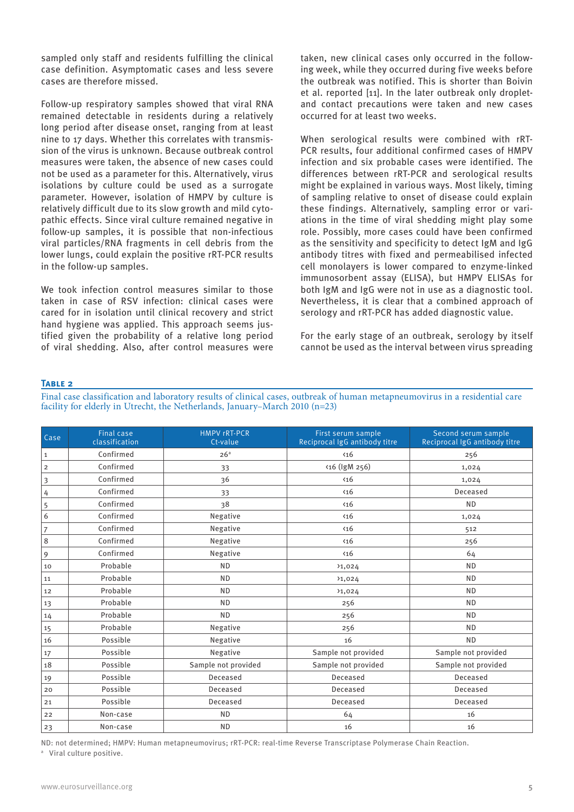sampled only staff and residents fulfilling the clinical case definition. Asymptomatic cases and less severe cases are therefore missed.

Follow-up respiratory samples showed that viral RNA remained detectable in residents during a relatively long period after disease onset, ranging from at least nine to 17 days. Whether this correlates with transmission of the virus is unknown. Because outbreak control measures were taken, the absence of new cases could not be used as a parameter for this. Alternatively, virus isolations by culture could be used as a surrogate parameter. However, isolation of HMPV by culture is relatively difficult due to its slow growth and mild cytopathic effects. Since viral culture remained negative in follow-up samples, it is possible that non-infectious viral particles/RNA fragments in cell debris from the lower lungs, could explain the positive rRT-PCR results in the follow-up samples.

We took infection control measures similar to those taken in case of RSV infection: clinical cases were cared for in isolation until clinical recovery and strict hand hygiene was applied. This approach seems justified given the probability of a relative long period of viral shedding. Also, after control measures were taken, new clinical cases only occurred in the following week, while they occurred during five weeks before the outbreak was notified. This is shorter than Boivin et al. reported [11]. In the later outbreak only dropletand contact precautions were taken and new cases occurred for at least two weeks.

When serological results were combined with rRT-PCR results, four additional confirmed cases of HMPV infection and six probable cases were identified. The differences between rRT-PCR and serological results might be explained in various ways. Most likely, timing of sampling relative to onset of disease could explain these findings. Alternatively, sampling error or variations in the time of viral shedding might play some role. Possibly, more cases could have been confirmed as the sensitivity and specificity to detect IgM and IgG antibody titres with fixed and permeabilised infected cell monolayers is lower compared to enzyme-linked immunosorbent assay (ELISA), but HMPV ELISAs for both IgM and IgG were not in use as a diagnostic tool. Nevertheless, it is clear that a combined approach of serology and rRT-PCR has added diagnostic value.

For the early stage of an outbreak, serology by itself cannot be used as the interval between virus spreading

#### **Table 2**

Final case classification and laboratory results of clinical cases, outbreak of human metapneumovirus in a residential care facility for elderly in Utrecht, the Netherlands, January–March 2010 (n=23)

| Case           | <b>Final case</b><br>classification | <b>HMPV rRT-PCR</b><br>Ct-value | First serum sample<br>Reciprocal IgG antibody titre | Second serum sample<br>Reciprocal IgG antibody titre |
|----------------|-------------------------------------|---------------------------------|-----------------------------------------------------|------------------------------------------------------|
| $\,1\,$        | Confirmed                           | 26 <sup>a</sup>                 | $\langle 16$                                        | 256                                                  |
| $\overline{2}$ | Confirmed                           | 33                              | <16 (IgM 256)                                       | 1,024                                                |
| 3              | Confirmed                           | 36                              | $\langle 16$                                        | 1,024                                                |
| 4              | Confirmed                           | 33                              | $\langle 16$                                        | Deceased                                             |
| 5              | Confirmed                           | 38                              | $\langle 16$                                        | <b>ND</b>                                            |
| 6              | Confirmed                           | Negative                        | $\langle 16$                                        | 1,024                                                |
| $\overline{7}$ | Confirmed                           | Negative                        | $\langle 16$                                        | 512                                                  |
| $\,8\,$        | Confirmed                           | Negative                        | $\langle 16$                                        | 256                                                  |
| 9              | Confirmed                           | Negative                        | $\langle 16$                                        | 64                                                   |
| 10             | Probable                            | <b>ND</b>                       | 31,024                                              | <b>ND</b>                                            |
| 11             | Probable                            | <b>ND</b>                       | 31,024                                              | <b>ND</b>                                            |
| 12             | Probable                            | <b>ND</b>                       | 31,024                                              | <b>ND</b>                                            |
| 13             | Probable                            | <b>ND</b>                       | 256                                                 | <b>ND</b>                                            |
| 14             | Probable                            | <b>ND</b>                       | 256                                                 | <b>ND</b>                                            |
| 15             | Probable                            | Negative                        | 256                                                 | <b>ND</b>                                            |
| 16             | Possible                            | Negative                        | 16                                                  | <b>ND</b>                                            |
| 17             | Possible                            | Negative                        | Sample not provided                                 | Sample not provided                                  |
| 18             | Possible                            | Sample not provided             | Sample not provided                                 | Sample not provided                                  |
| 19             | Possible                            | Deceased                        | Deceased                                            | Deceased                                             |
| 20             | Possible                            | Deceased                        | Deceased                                            | Deceased                                             |
| 21             | Possible                            | Deceased                        | Deceased                                            | Deceased                                             |
| 22             | Non-case                            | <b>ND</b>                       | 64                                                  | 16                                                   |
| 23             | Non-case                            | <b>ND</b>                       | 16                                                  | 16                                                   |

ND: not determined; HMPV: Human metapneumovirus; rRT-PCR: real-time Reverse Transcriptase Polymerase Chain Reaction. <sup>a</sup> Viral culture positive.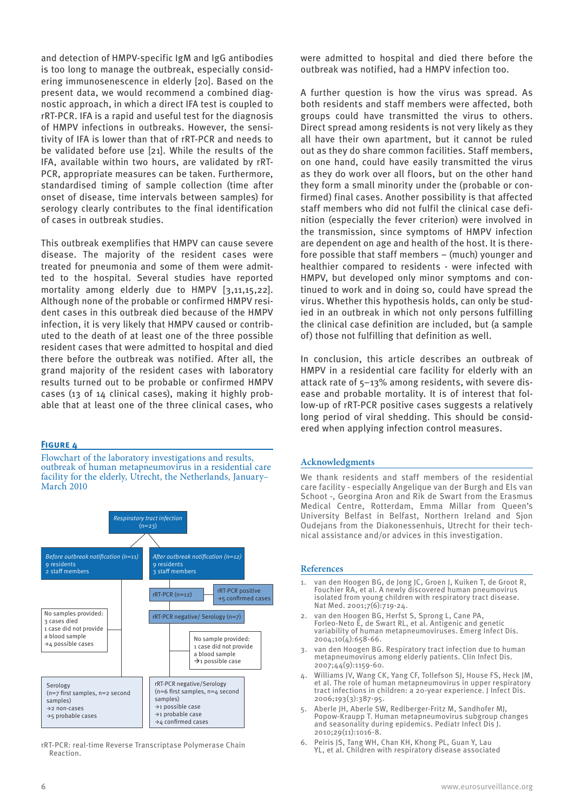and detection of HMPV-specific IgM and IgG antibodies is too long to manage the outbreak, especially considering immunosenescence in elderly [20]. Based on the present data, we would recommend a combined diagnostic approach, in which a direct IFA test is coupled to rRT-PCR. IFA is a rapid and useful test for the diagnosis of HMPV infections in outbreaks. However, the sensitivity of IFA is lower than that of rRT-PCR and needs to be validated before use [21]. While the results of the IFA, available within two hours, are validated by rRT-PCR, appropriate measures can be taken. Furthermore, standardised timing of sample collection (time after onset of disease, time intervals between samples) for serology clearly contributes to the final identification of cases in outbreak studies.

This outbreak exemplifies that HMPV can cause severe disease. The majority of the resident cases were treated for pneumonia and some of them were admitted to the hospital. Several studies have reported mortality among elderly due to HMPV [3,11,15,22]. Although none of the probable or confirmed HMPV resident cases in this outbreak died because of the HMPV infection, it is very likely that HMPV caused or contributed to the death of at least one of the three possible resident cases that were admitted to hospital and died there before the outbreak was notified. After all, the grand majority of the resident cases with laboratory results turned out to be probable or confirmed HMPV cases (13 of 14 clinical cases), making it highly probable that at least one of the three clinical cases, who

#### **Figure 4**

Flowchart of the laboratory investigations and results, outbreak of human metapneumovirus in a residential care facility for the elderly, Utrecht, the Netherlands, January-March 2010



rRT-PCR: real-time Reverse Transcriptase Polymerase Chain Reaction.

were admitted to hospital and died there before the outbreak was notified, had a HMPV infection too.

A further question is how the virus was spread. As both residents and staff members were affected, both groups could have transmitted the virus to others. Direct spread among residents is not very likely as they all have their own apartment, but it cannot be ruled out as they do share common facilities. Staff members, on one hand, could have easily transmitted the virus as they do work over all floors, but on the other hand they form a small minority under the (probable or confirmed) final cases. Another possibility is that affected staff members who did not fulfil the clinical case definition (especially the fever criterion) were involved in the transmission, since symptoms of HMPV infection are dependent on age and health of the host. It is therefore possible that staff members – (much) younger and healthier compared to residents - were infected with HMPV, but developed only minor symptoms and continued to work and in doing so, could have spread the virus. Whether this hypothesis holds, can only be studied in an outbreak in which not only persons fulfilling the clinical case definition are included, but (a sample of) those not fulfilling that definition as well.

In conclusion, this article describes an outbreak of HMPV in a residential care facility for elderly with an attack rate of 5–13% among residents, with severe disease and probable mortality. It is of interest that follow-up of rRT-PCR positive cases suggests a relatively long period of viral shedding. This should be considered when applying infection control measures.

#### **Acknowledgments**

We thank residents and staff members of the residential care facility - especially Angelique van der Burgh and Els van Schoot -, Georgina Aron and Rik de Swart from the Erasmus Medical Centre, Rotterdam, Emma Millar from Queen's University Belfast in Belfast, Northern Ireland and Sjon Oudejans from the Diakonessenhuis, Utrecht for their technical assistance and/or advices in this investigation.

#### **References**

- van den Hoogen BG, de Jong JC, Groen J, Kuiken T, de Groot R, Fouchier RA, et al. A newly discovered human pneumovirus isolated from young children with respiratory tract disease. Nat Med. 2001;7(6):719-24.
- 2. van den Hoogen BG, Herfst S, Sprong L, Cane PA, Forleo-Neto E, de Swart RL, et al. Antigenic and genetic variability of human metapneumoviruses. Emerg Infect Dis. 2004;10(4):658-66.
- 3. van den Hoogen BG. Respiratory tract infection due to human metapneumovirus among elderly patients. Clin Infect Dis. 2007;44(9):1159-60.
- 4. Williams JV, Wang CK, Yang CF, Tollefson SJ, House FS, Heck JM, et al. The role of human metapneumovirus in upper respiratory tract infections in children: a 20-year experience. J Infect Dis. 2006;193(3):387-95.
- 5. Aberle JH, Aberle SW, Redlberger-Fritz M, Sandhofer MJ, Popow-Kraupp T. Human metapneumovirus subgroup changes and seasonality during epidemics. Pediatr Infect Dis J. 2010;29(11):1016-8.
- 6. Peiris JS, Tang WH, Chan KH, Khong PL, Guan Y, Lau YL, et al. Children with respiratory disease associated